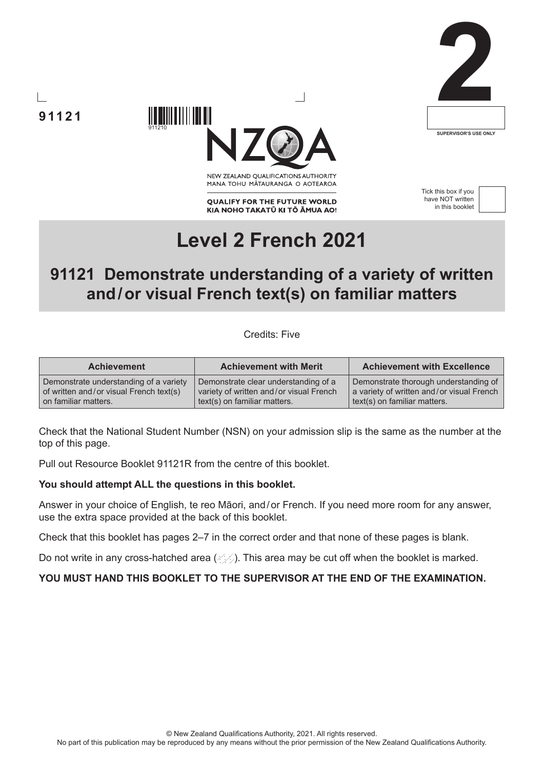





NEW ZEALAND OUALIFICATIONS AUTHORITY MANA TOHU MATAURANGA O AOTEAROA

**QUALIFY FOR THE FUTURE WORLD** KIA NOHO TAKATŪ KI TŌ ĀMUA AO! Tick this box if you have NOT written in this booklet



# **Level 2 French 2021**

## **91121 Demonstrate understanding of a variety of written and/or visual French text(s) on familiar matters**

Credits: Five

| <b>Achievement</b>                      | <b>Achievement with Merit</b>           | <b>Achievement with Excellence</b>        |
|-----------------------------------------|-----------------------------------------|-------------------------------------------|
| Demonstrate understanding of a variety  | Demonstrate clear understanding of a    | Demonstrate thorough understanding of     |
| of written and/or visual French text(s) | variety of written and/or visual French | a variety of written and/or visual French |
| on familiar matters.                    | text(s) on familiar matters.            | text(s) on familiar matters.              |

Check that the National Student Number (NSN) on your admission slip is the same as the number at the top of this page.

Pull out Resource Booklet 91121R from the centre of this booklet.

#### **You should attempt ALL the questions in this booklet.**

911210

Answer in your choice of English, te reo Māori, and/or French. If you need more room for any answer, use the extra space provided at the back of this booklet.

Check that this booklet has pages 2–7 in the correct order and that none of these pages is blank.

Do not write in any cross-hatched area  $(\angle\Diamond)$ . This area may be cut off when the booklet is marked.

**YOU MUST HAND THIS BOOKLET TO THE SUPERVISOR AT THE END OF THE EXAMINATION.**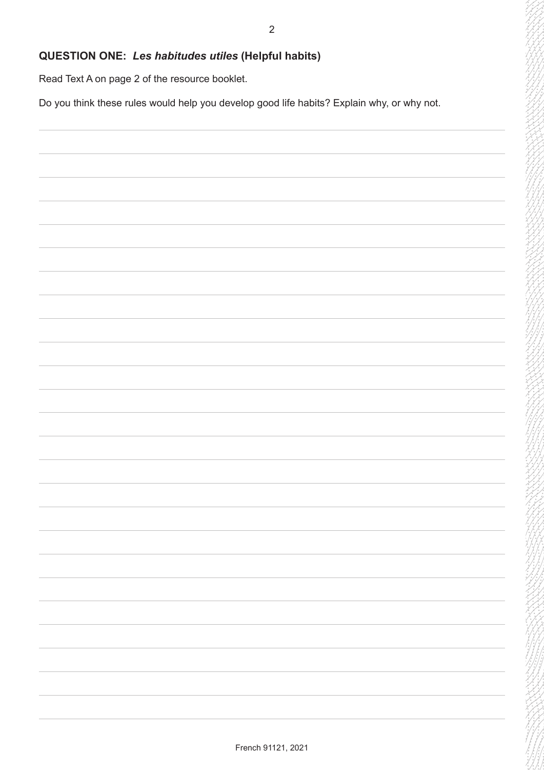#### **QUESTION ONE:** *Les habitudes utiles* **(Helpful habits)**

Read Text A on page 2 of the resource booklet.

Do you think these rules would help you develop good life habits? Explain why, or why not.

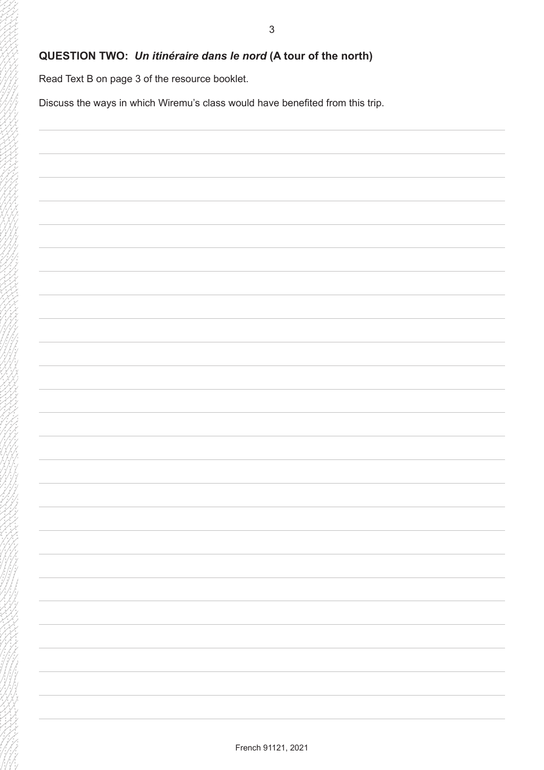#### **QUESTION TWO:** *Un itinéraire dans le nord* **(A tour of the north)**

Read Text B on page 3 of the resource booklet.

Discuss the ways in which Wiremu's class would have benefited from this trip.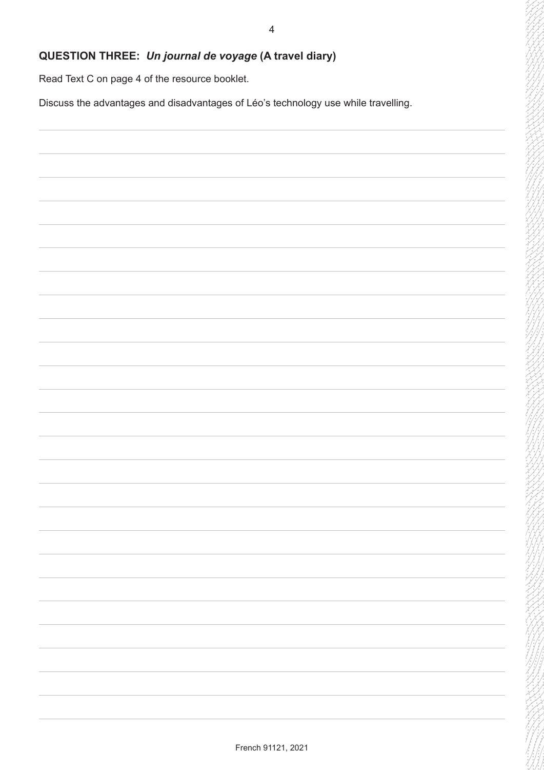### **QUESTION THREE:** *Un journal de voyage* **(A travel diary)**

Read Text C on page 4 of the resource booklet.

Discuss the advantages and disadvantages of Léo's technology use while travelling.

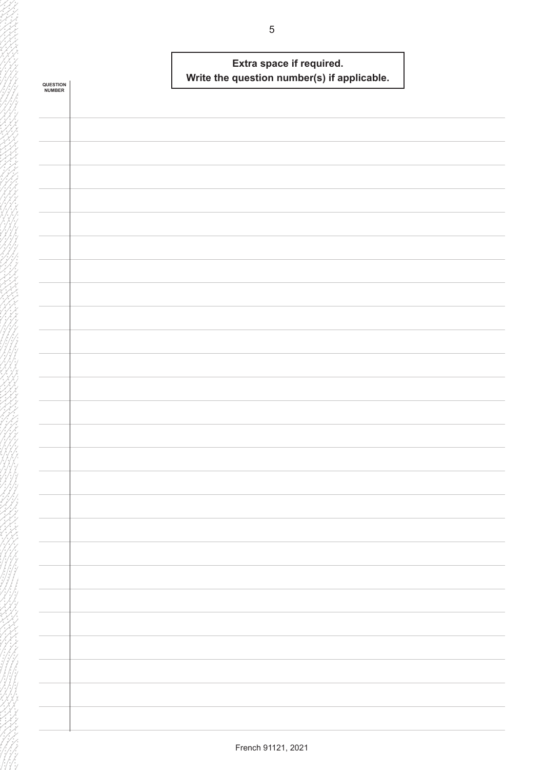|                            | Extra space if required.                    |  |
|----------------------------|---------------------------------------------|--|
|                            | Write the question number(s) if applicable. |  |
| <b>QUESTION<br/>NUMBER</b> |                                             |  |
|                            |                                             |  |
|                            |                                             |  |
|                            |                                             |  |
|                            |                                             |  |
|                            |                                             |  |
|                            |                                             |  |
|                            |                                             |  |
|                            |                                             |  |
|                            |                                             |  |
|                            |                                             |  |
|                            |                                             |  |
|                            |                                             |  |
|                            |                                             |  |
|                            |                                             |  |
|                            |                                             |  |
|                            |                                             |  |
|                            |                                             |  |
|                            |                                             |  |
|                            |                                             |  |
|                            |                                             |  |
|                            |                                             |  |
|                            |                                             |  |
|                            |                                             |  |
|                            |                                             |  |
|                            |                                             |  |
|                            |                                             |  |
|                            |                                             |  |
|                            |                                             |  |
|                            |                                             |  |
|                            |                                             |  |
|                            |                                             |  |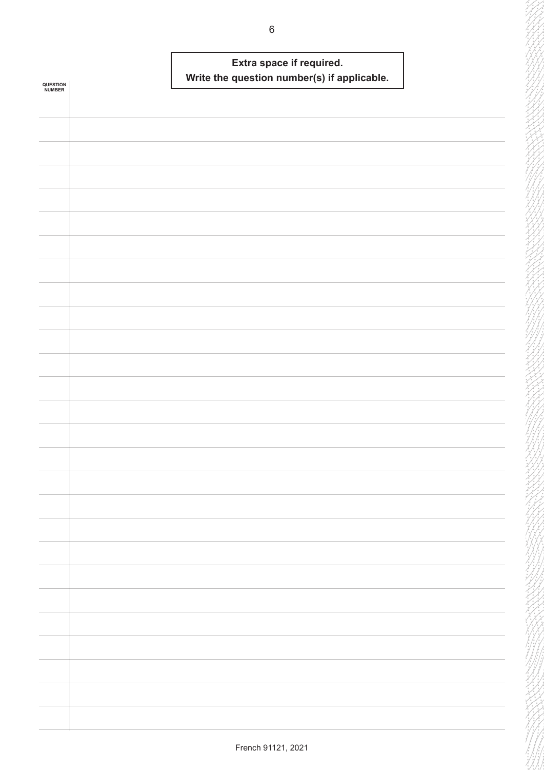|                            | Extra space if required.                    |  |
|----------------------------|---------------------------------------------|--|
| <b>QUESTION<br/>NUMBER</b> | Write the question number(s) if applicable. |  |
|                            |                                             |  |
|                            |                                             |  |
|                            |                                             |  |
|                            |                                             |  |
|                            |                                             |  |
|                            |                                             |  |
|                            |                                             |  |
|                            |                                             |  |
|                            |                                             |  |
|                            |                                             |  |
|                            |                                             |  |
|                            |                                             |  |
|                            |                                             |  |
|                            |                                             |  |
|                            |                                             |  |
|                            |                                             |  |
|                            |                                             |  |
|                            |                                             |  |
|                            |                                             |  |
|                            |                                             |  |
|                            |                                             |  |
|                            |                                             |  |
|                            |                                             |  |
|                            |                                             |  |
|                            |                                             |  |
|                            |                                             |  |
|                            |                                             |  |
|                            |                                             |  |
|                            |                                             |  |
|                            |                                             |  |
|                            |                                             |  |
|                            |                                             |  |
|                            |                                             |  |
|                            |                                             |  |
|                            |                                             |  |
|                            |                                             |  |
|                            |                                             |  |
|                            |                                             |  |
|                            |                                             |  |
|                            |                                             |  |